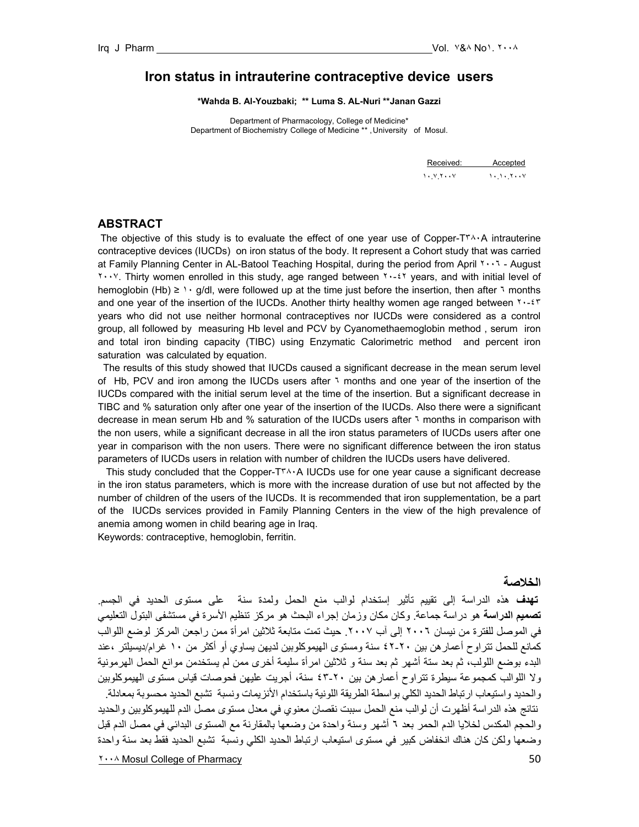## **Iron status in intrauterine contraceptive device users**

**\*Wahda B. Al-Youzbaki; \*\* Luma S. AL-Nuri \*\*Janan Gazzi** 

Department of Pharmacology, College of Medicine\* Department of Biochemistry College of Medicine \*\*, University of Mosul.

| Received: Accepted |  |
|--------------------|--|
| $1. V Y \cdot V$   |  |

## **ABSTRACT**

The objective of this study is to evaluate the effect of one year use of Copper-T<sup>\*</sup> $\cdot \cdot$ A intrauterine contraceptive devices (IUCDs) on iron status of the body. It represent a Cohort study that was carried at Family Planning Center in AL-Batool Teaching Hospital, during the period from April ٢٠٠٦ - August ٢٠٠٧. Thirty women enrolled in this study, age ranged between ٢٠-٤٢ years, and with initial level of hemoglobin (Hb) ≥ 1 · g/dl, were followed up at the time just before the insertion, then after 1 months and one year of the insertion of the IUCDs. Another thirty healthy women age ranged between ٢٠-٤٣ years who did not use neither hormonal contraceptives nor IUCDs were considered as a control group, all followed by measuring Hb level and PCV by Cyanomethaemoglobin method , serum iron and total iron binding capacity (TIBC) using Enzymatic Calorimetric method and percent iron saturation was calculated by equation.

 The results of this study showed that IUCDs caused a significant decrease in the mean serum level of Hb, PCV and iron among the IUCDs users after ٦ months and one year of the insertion of the IUCDs compared with the initial serum level at the time of the insertion. But a significant decrease in TIBC and % saturation only after one year of the insertion of the IUCDs. Also there were a significant decrease in mean serum Hb and % saturation of the IUCDs users after ٦ months in comparison with the non users, while a significant decrease in all the iron status parameters of IUCDs users after one year in comparison with the non users. There were no significant difference between the iron status parameters of IUCDs users in relation with number of children the IUCDs users have delivered.

 This study concluded that the Copper-T٣٨٠A IUCDs use for one year cause a significant decrease in the iron status parameters, which is more with the increase duration of use but not affected by the number of children of the users of the IUCDs. It is recommended that iron supplementation, be a part of the IUCDs services provided in Family Planning Centers in the view of the high prevalence of anemia among women in child bearing age in Iraq.

Keywords: contraceptive, hemoglobin, ferritin.

# **الخلاصة**

The Mosul College of Pharmacy **by the College of Pharmacy 50 تهدف** هذه الدراسة إلى تقييم تأثير إستخدام لوالب منع الحمل ولمدة سنة على مستوى الحديد في الجسم. **تصميم الدراسة** هو دراسة جماعة. وآان مكان وزمان إجراء البحث هو مرآز تنظيم الأسرة في مستشفى البتول التعليمي في الموصل للفترة من نيسان ٢٠٠٦ إلى آب ٢٠٠٧. حيث تمت متابعة ثلاثين امرأة ممن راجعن المركز لوضع اللوالب كمانع للحمل تتراوح أعمار هن بين ٢٠-٤٢ سنة ومستوى الهيموكلوبين لديهن يساوي أو أكثر من ١٠ غرام/ديسيلتر ،عند البدء بوضع اللولب، ثم بعد ستة أشهر ثم بعد سنة و ثلاثين امرأة سليمة أخرى ممن لم يستخدمن موانع الحمل الهرمونية ولا اللوالب كمجموعة سيطرة تتراوح أعمارهن بين ٢٠-٤٣ سنة، أجريت عليهن فحوصات قياس مستوى الهيموكلوبين والحديد واستيعاب ارتباط الحديد الكلي بواسطة الطريقة اللونية باستخدام الأنزيمات ونسبة تشبع الحديد محسوبة بمعادلة. نتائج هذه الدراسة أظهرت أن لوالب منع الحمل سببت نقصان معنوي في معدل مستوى مصل الدم للهيموآلوبين والحديد والحجم المكدس لخلايا الدم الحمر بعد ٦ أشهر وسنة واحدة من وضعها بالمقارنة مع المستوى البدائي في مصل الدم قبل وضعها ولكن كان هناك انخفاض كبير في مستوى استيعاب ارتباط الحديد الكلي ونسبة تشبع الحديد فقط بعد سنة واحدة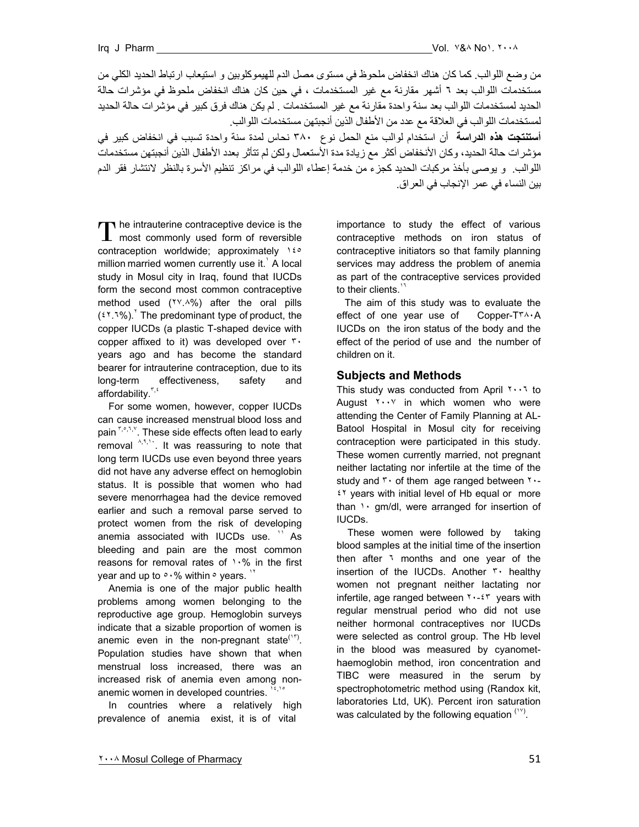من وضع اللوالب. كما كان هناك انخفاض ملحوظ في مستوى مصل الدم للهيموكلوبين و استيعاب ارتباط الحديد الكلي من مستخدمات اللوالب بعد ٦ أشهر مقارنة مع غير المستخدمات ، في حين كان هناك انخفاض ملحوظ في مؤشرات حالة الحديد لمستخدمات اللوالب بعد سنة واحدة مقارنة مع غير المستخدمات . لم يكن هناك فرق آبير في مؤشرات حالة الحديد لمستخدمات اللوالب في العلاقة مع عدد من الأطفال الذين أنجبتهن مستخدمات اللوالب. **أستنتجت هذه الدراسة** أن استخدام لوالب منع الحمل نوع ٣٨٠ نحاس لمدة سنة واحدة تسبب في انخفاض آبير في

مؤشرات حالة الحديد، وآان الأنخفاض أآثر مع زيادة مدة الأستعمال ولكن لم تتأثر بعدد الأطفال الذين أنجبتهن مستخدمات اللوالب. و يوصىي بأخذ مركبات الحديد كجزء من خدمة إعطاء اللوالب في مراكز تنظيم الأسرة بالنظر لانتشار فقر الدم بين النساء في عمر الإنجاب في العراق.

he intrauterine contraceptive device is the The intrauterine contraceptive device is the most commonly used form of reversible contraception worldwide; approximately ١٤٥ million married women currently use it. $'$  A local study in Mosul city in Iraq, found that IUCDs form the second most common contraceptive method used (٢٧.٨%) after the oral pills  $(51.7\%)$ . The predominant type of product, the copper IUCDs (a plastic T-shaped device with copper affixed to it) was developed over ٣٠ years ago and has become the standard bearer for intrauterine contraception, due to its long-term effectiveness, safety and affordability.<sup>٣</sup>,<sup>٤</sup>

 For some women, however, copper IUCDs can cause increased menstrual blood loss and pain Fight,<sup>v</sup>. These side effects often lead to early removal  $A_1$ ,  $A_2$ , it was reassuring to note that long term IUCDs use even beyond three years did not have any adverse effect on hemoglobin status. It is possible that women who had severe menorrhagea had the device removed earlier and such a removal parse served to protect women from the risk of developing anemia associated with IUCDs use. <sup>11</sup> As bleeding and pain are the most common reasons for removal rates of  $1.8$  in the first year and up to  $\circ \cdot\%$  within  $\circ$  years.  $\cdot\$ 

 Anemia is one of the major public health problems among women belonging to the reproductive age group. Hemoglobin surveys indicate that a sizable proportion of women is anemic even in the non-pregnant state<sup> $(17)$ </sup>. Population studies have shown that when menstrual loss increased, there was an increased risk of anemia even among nonanemic women in developed countries.  $14,14$ 

 In countries where a relatively high prevalence of anemia exist, it is of vital

importance to study the effect of various contraceptive methods on iron status of contraceptive initiators so that family planning services may address the problem of anemia as part of the contraceptive services provided to their clients. $17$ 

The aim of this study was to evaluate the effect of one year use of Copper-T٣٨٠A IUCDs on the iron status of the body and the effect of the period of use and the number of children on it.

### **Subjects and Methods**

This study was conducted from April ٢٠٠٦ to August ٢٠٠٧ in which women who were attending the Center of Family Planning at AL-Batool Hospital in Mosul city for receiving contraception were participated in this study. These women currently married, not pregnant neither lactating nor infertile at the time of the study and  $\mathbf{r} \cdot$  of them age ranged between  $\mathbf{r} \cdot \mathbf{r}$ ٤٢ years with initial level of Hb equal or more than  $\cdots$  gm/dl, were arranged for insertion of IUCDs.

 These women were followed by taking blood samples at the initial time of the insertion then after <sup>1</sup> months and one year of the insertion of the IUCDs. Another ٣٠ healthy women not pregnant neither lactating nor infertile, age ranged between  $\mathbf{y} \cdot \mathbf{z}$  years with regular menstrual period who did not use neither hormonal contraceptives nor IUCDs were selected as control group. The Hb level in the blood was measured by cyanomethaemoglobin method, iron concentration and TIBC were measured in the serum by spectrophotometric method using (Randox kit, laboratories Ltd, UK). Percent iron saturation was calculated by the following equation  $(1)$ <sup>(18)</sup>.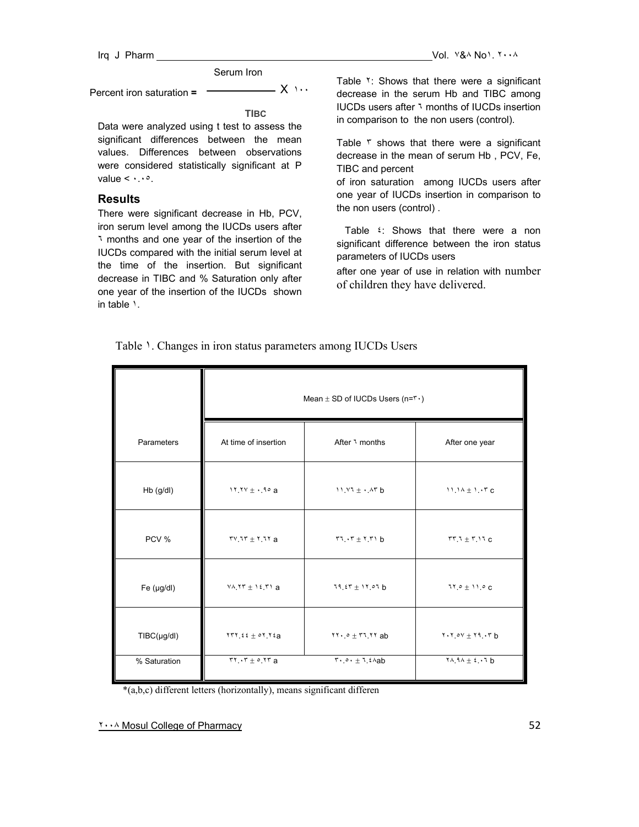#### Serum Iron

Percent iron saturation **=**  $\overline{\phantom{a}}$  X  $\cdots$ 

**TIBC**

Data were analyzed using t test to assess the significant differences between the mean values. Differences between observations were considered statistically significant at P value  $\langle \cdots \rangle$ .

## **Results**

There were significant decrease in Hb, PCV, iron serum level among the IUCDs users after ٦ months and one year of the insertion of the IUCDs compared with the initial serum level at the time of the insertion. But significant decrease in TIBC and % Saturation only after one year of the insertion of the IUCDs shown in table ١.

Table <sup>Y</sup>: Shows that there were a significant decrease in the serum Hb and TIBC among IUCDs users after ٦ months of IUCDs insertion in comparison to the non users (control).

Table r shows that there were a significant decrease in the mean of serum Hb , PCV, Fe, TIBC and percent

of iron saturation among IUCDs users after one year of IUCDs insertion in comparison to the non users (control) .

Table  $\epsilon$ : Shows that there were a non significant difference between the iron status parameters of IUCDs users

after one year of use in relation with number of children they have delivered.

|  | Table 1. Changes in iron status parameters among IUCDs Users |  |  |  |
|--|--------------------------------------------------------------|--|--|--|
|  |                                                              |  |  |  |

|                | Mean $\pm$ SD of IUCDs Users (n= $r \cdot$ )                  |                                                                        |                                          |  |
|----------------|---------------------------------------------------------------|------------------------------------------------------------------------|------------------------------------------|--|
| Parameters     | At time of insertion                                          | After 1 months                                                         | After one year                           |  |
| Hb (g/dl)      | $11.11 + 10a$                                                 | $11.17 \pm .17$ b                                                      | $11.14 \pm 1.17c$                        |  |
| PCV %          | $TV$ , $TV + Y$ , $UY$ a                                      | $\mathbf{r} \cdot \mathbf{r} + \mathbf{r} \cdot \mathbf{r}$            | $TT.7 + T.17C$                           |  |
| Fe $(\mu g/d)$ | $Y \wedge Y Y \pm Y \in Y Y$ a                                | $19.57 \pm 17.07$ b                                                    | $11.0 \pm 11.0 C$                        |  |
| TIBC(µg/dl)    | $1777.52 \pm 07.72a$                                          | $111.0 + 11.11$ ab                                                     | $Y \cdot Y \cdot 0V + Y \cdot Y \cdot Y$ |  |
| % Saturation   | $\mathbf{r} \cdot \mathbf{r} + \mathbf{r} \cdot \mathbf{r}$ a | $\mathbf{r} \cdot \mathbf{r} \cdot \pm \mathbf{r} \cdot \mathbf{r}$ ab | $Y \wedge 9 \wedge \pm 2 \cdot 7$ b      |  |

\*(a,b,c) different letters (horizontally), means significant differen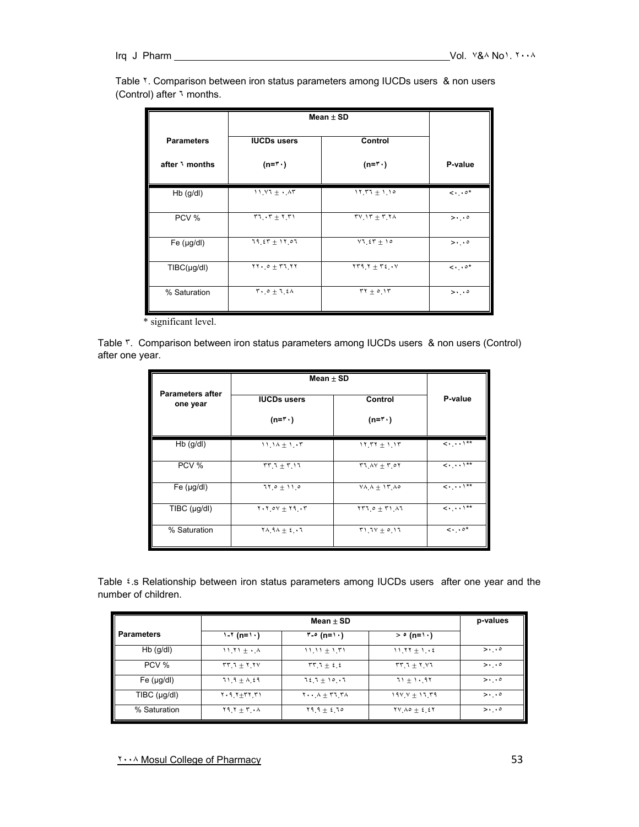| Table Y. Comparison between iron status parameters among IUCDs users & non users |  |
|----------------------------------------------------------------------------------|--|
| (Control) after 1 months.                                                        |  |

|                               | Mean $\pm$ SD                                                |                                        |                                     |
|-------------------------------|--------------------------------------------------------------|----------------------------------------|-------------------------------------|
| <b>Parameters</b>             | <b>IUCDs users</b>                                           | Control                                |                                     |
| after 1 months                | $(n = r \cdot)$                                              | $(n = r \cdot)$                        | P-value                             |
| Hb (g/dl)                     | $11.11 + .17$                                                | $11777 + 110$                          | $\langle \cdot \rangle$ . $\circ^*$ |
| PCV %                         | $57.7 + 7.51$                                                | $TV_1Y + T_2Y$                         | $>$                                 |
| Fe (µg/dl)                    | $19.57 + 17.07$                                              | $VI_{\alpha}$ $\epsilon$ $T$ + 10      | $>$                                 |
| $T\text{IBC}(\mu\text{g/dl})$ | $\mathbf{Y} \cdot \cdot \cdot + \mathbf{Y} \cdot \mathbf{Y}$ | $\gamma$                               | $\lt\cdot\cdot\cdot$ $\circ\cdot\$  |
| % Saturation                  | $T \cdot 0 + 1.2 \Lambda$                                    | $\mathbf{r} + \mathbf{r} + \mathbf{r}$ | $>$                                 |

\* significant level.

Table ٣. Comparison between iron status parameters among IUCDs users & non users (Control) after one year.

|                                     | Mean $\pm$ SD                            |                                    |                                           |
|-------------------------------------|------------------------------------------|------------------------------------|-------------------------------------------|
| <b>Parameters after</b><br>one year | <b>IUCDs users</b>                       | Control                            | P-value                                   |
|                                     | $(n = r \cdot)$                          | $(n = r \cdot)$                    |                                           |
| $Hb$ (g/dl)                         | $11.14 + 1.17$                           | $11.77 + 1.17$                     | $\langle \cdot, \cdot \rangle$ **         |
| PCV %                               | $55 + 7 + 17$                            | $57.4V + 7.0V$                     | $\langle \cdot, \cdot \cdot \rangle^{**}$ |
| Fe (µg/dl)                          | $110 + 110$                              | $V \wedge \wedge + V \wedge \circ$ | $\langle\cdots\rangle^{**}$               |
| $T\text{IBC}$ ( $\mu$ g/dl)         | $Y \cdot Y \cdot OV + Y \cdot V \cdot V$ | $1770 + 7111$                      | $\langle \cdot, \cdot \cdot \rangle^{**}$ |
| % Saturation                        | $Y \wedge 9 \wedge \pm 2 \cdot 7$        | $71.71 + 0.17$                     | $\lt\cdot\cdot\cdot$ $\circ\cdot\cdot$    |

Table ٤.s Relationship between iron status parameters among IUCDs users after one year and the number of children.

|                                |                            | p-values                                         |                                                  |                       |
|--------------------------------|----------------------------|--------------------------------------------------|--------------------------------------------------|-----------------------|
| <b>Parameters</b>              | $1 - 7$ (n=1.)             | $\mathsf{r}\text{-}\mathsf{e}$ (n= \ \ \)        | $>$ $\circ$ (n= \ \ \)                           |                       |
| $Hb$ (g/dl)                    | $11.71 \pm .14$            | $11.11 \pm 1.71$                                 | $11.17 + 1.6$                                    | $>$                   |
| PCV %                          | $55 + 7.74$                | $\mathbf{r}\mathbf{r} + \mathbf{i} + \mathbf{j}$ | $55 + 7 - 17$                                    | $>$                   |
| Fe (µg/dl)                     | $71.9 \pm 0.29$            | $72.7 + 10.17$                                   | $71 + 1.97$                                      | $> \cdot \cdot \cdot$ |
| $T\text{IBC (}\mu\text{g/dl})$ | $Y \cdot 9.7 + TY \cdot T$ | $Y \cdot \cdot A + r1 rA$                        | $191' + 17'$ $79'$                               | $>$                   |
| % Saturation                   | $Y$ 9. $Y + Y$ . $\wedge$  | $19.9 \pm 2.10$                                  | $\gamma V \wedge \circ \pm \xi \cdot \xi \gamma$ | $>$                   |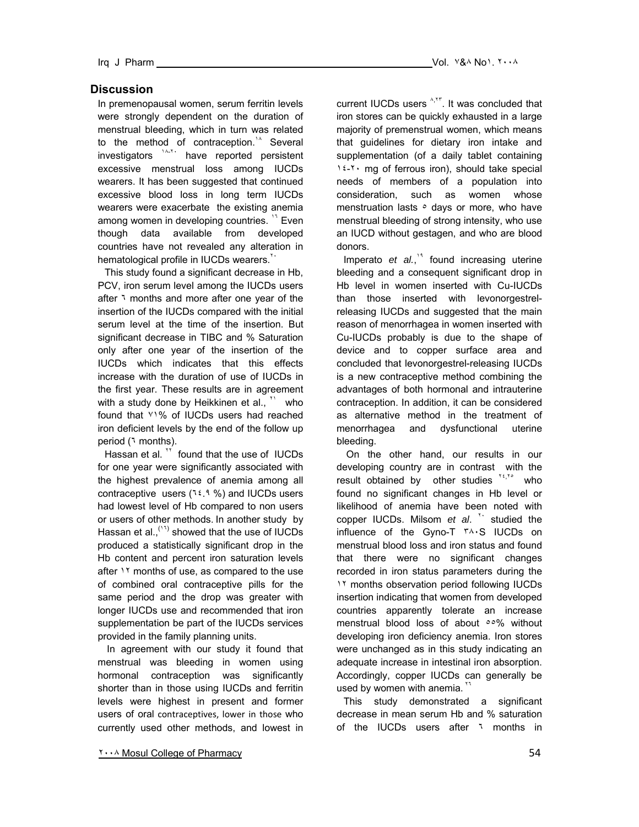## **Discussion**

In premenopausal women, serum ferritin levels were strongly dependent on the duration of menstrual bleeding, which in turn was related to the method of contraception.<sup> $1/2$ </sup> Several investigators <sup>14-1</sup> have reported persistent excessive menstrual loss among IUCDs wearers. It has been suggested that continued excessive blood loss in long term IUCDs wearers were exacerbate the existing anemia among women in developing countries. <sup>17</sup> Even though data available from developed countries have not revealed any alteration in hematological profile in IUCDs wearers.<sup>11</sup>

This study found a significant decrease in Hb, PCV, iron serum level among the IUCDs users after 1 months and more after one year of the insertion of the IUCDs compared with the initial serum level at the time of the insertion. But significant decrease in TIBC and % Saturation only after one year of the insertion of the IUCDs which indicates that this effects increase with the duration of use of IUCDs in the first year. These results are in agreement with a study done by Heikkinen et al.,  $\mathbf{v}$  who found that ٧١% of IUCDs users had reached iron deficient levels by the end of the follow up period (٦ months).

Hassan et al. <sup>\*\*</sup> found that the use of IUCDs for one year were significantly associated with the highest prevalence of anemia among all contraceptive users  $(1, 1, 9)$  and IUCDs users had lowest level of Hb compared to non users or users of other methods. In another study by Hassan et al.,  $(1)$  showed that the use of IUCDs produced a statistically significant drop in the Hb content and percent iron saturation levels after 11 months of use, as compared to the use of combined oral contraceptive pills for the same period and the drop was greater with longer IUCDs use and recommended that iron supplementation be part of the IUCDs services provided in the family planning units.

In agreement with our study it found that menstrual was bleeding in women using hormonal contraception was significantly shorter than in those using IUCDs and ferritin levels were highest in present and former users of oral contraceptives, lower in those who currently used other methods, and lowest in

current IUCDs users <sup>A,TT</sup>. It was concluded that iron stores can be quickly exhausted in a large majority of premenstrual women, which means that guidelines for dietary iron intake and supplementation (of a daily tablet containing ١٤-٢٠ mg of ferrous iron), should take special needs of members of a population into consideration, such as women whose menstruation lasts  $\circ$  days or more, who have menstrual bleeding of strong intensity, who use an IUCD without gestagen, and who are blood donors.

Imperato et al.,<sup>14</sup> found increasing uterine bleeding and a consequent significant drop in Hb level in women inserted with Cu-IUCDs than those inserted with levonorgestrelreleasing IUCDs and suggested that the main reason of menorrhagea in women inserted with Cu-IUCDs probably is due to the shape of device and to copper surface area and concluded that levonorgestrel-releasing IUCDs is a new contraceptive method combining the advantages of both hormonal and intrauterine contraception. In addition, it can be considered as alternative method in the treatment of menorrhagea and dysfunctional uterine bleeding.

 On the other hand, our results in our developing country are in contrast with the result obtained by other studies  $X^{\epsilon, X^*}$  who found no significant changes in Hb level or likelihood of anemia have been noted with copper IUCDs. Milsom et al. <sup>\*\*</sup> studied the influence of the Gyno-T ٣٨٠S IUCDs on menstrual blood loss and iron status and found that there were no significant changes recorded in iron status parameters during the 11 months observation period following IUCDs insertion indicating that women from developed countries apparently tolerate an increase menstrual blood loss of about  $0.06$  without developing iron deficiency anemia. Iron stores were unchanged as in this study indicating an adequate increase in intestinal iron absorption. Accordingly, copper IUCDs can generally be used by women with anemia.

This study demonstrated a significant decrease in mean serum Hb and % saturation of the IUCDs users after <sup>1</sup> months in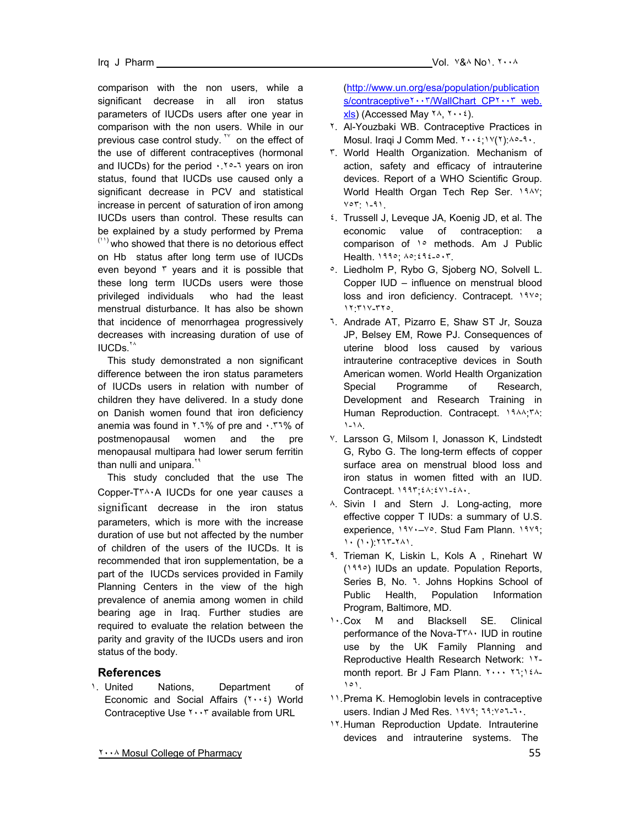comparison with the non users, while a significant decrease in all iron status parameters of IUCDs users after one year in comparison with the non users. While in our previous case control study.  $W$  on the effect of the use of different contraceptives (hormonal and IUCDs) for the period  $\cdot$  . To 1 years on iron status, found that IUCDs use caused only a significant decrease in PCV and statistical increase in percent of saturation of iron among IUCDs users than control. These results can be explained by a study performed by Prema  $(1)$  who showed that there is no detorious effect on Hb status after long term use of IUCDs even beyond ٣ years and it is possible that these long term IUCDs users were those privileged individuals who had the least menstrual disturbance. It has also be shown that incidence of menorrhagea progressively decreases with increasing duration of use of IUCDs.<sup>14</sup>

 This study demonstrated a non significant difference between the iron status parameters of IUCDs users in relation with number of children they have delivered. In a study done on Danish women found that iron deficiency anemia was found in ٢.٦% of pre and ٠.٣٦% of postmenopausal women and the pre menopausal multipara had lower serum ferritin than nulli and unipara.<sup>11</sup>

 This study concluded that the use The Copper-T٣٨٠A IUCDs for one year causes a significant decrease in the iron status parameters, which is more with the increase duration of use but not affected by the number of children of the users of the IUCDs. It is recommended that iron supplementation, be a part of the IUCDs services provided in Family Planning Centers in the view of the high prevalence of anemia among women in child bearing age in Iraq. Further studies are required to evaluate the relation between the parity and gravity of the IUCDs users and iron status of the body.

## **References**

١. United Nations, Department of Economic and Social Affairs (٢٠٠٤) World Contraceptive Use ٢٠٠٣ available from URL

(http://www.un.org/esa/population/publication s/contraceptive٢٠٠٣/WallChart\_CP٢٠٠٣\_web.  $x\mid s$  (Accessed May  $\forall \lambda, \forall \cdot \cdot \ell$ ).

- ٢. Al-Youzbaki WB. Contraceptive Practices in Mosul. Iraqi J Comm Med. ٢٠٠٤;١٧(٢):٨٥-٩٠.
- ٣. World Health Organization. Mechanism of action, safety and efficacy of intrauterine devices. Report of a WHO Scientific Group. World Health Organ Tech Rep Ser. ١٩٨٧; ٧٥٣: ١-٩١.
- ٤. Trussell J, Leveque JA, Koenig JD, et al. The economic value of contraception: a comparison of 1° methods. Am J Public Health. ١٩٩٥; ٨٥:٤٩٤-٥٠٣.
- ٥. Liedholm P, Rybo G, Sjoberg NO, Solvell L. Copper IUD – influence on menstrual blood loss and iron deficiency. Contracept. ١٩٧٥; ١٢:٣١٧-٣٢٥.
- ٦. Andrade AT, Pizarro E, Shaw ST Jr, Souza JP, Belsey EM, Rowe PJ. Consequences of uterine blood loss caused by various intrauterine contraceptive devices in South American women. World Health Organization Special Programme of Research, Development and Research Training in Human Reproduction. Contracept. ١٩٨٨;٣٨: ١-١٨.
- ٧. Larsson G, Milsom I, Jonasson K, Lindstedt G, Rybo G. The long-term effects of copper surface area on menstrual blood loss and iron status in women fitted with an IUD. Contracept. ١٩٩٣;٤٨:٤٧١-٤٨٠.
- ٨. Sivin I and Stern J. Long-acting, more effective copper T IUDs: a summary of U.S. experience, ١٩٧٠–٧٥. Stud Fam Plann. ١٩٧٩; ١٠ (١٠):٢٦٣-٢٨١.
- ٩. Trieman K, Liskin L, Kols A , Rinehart W (١٩٩٥) IUDs an update. Population Reports, Series B, No. ٦. Johns Hopkins School of Public Health, Population Information Program, Baltimore, MD.
- ١٠. Cox M and Blacksell SE. Clinical performance of the Nova-T٣٨٠ IUD in routine use by the UK Family Planning and Reproductive Health Research Network: ١٢ month report. Br J Fam Plann. ٢٠٠٠ ٢٦;١٤٨- ١٥١.
- ١١. Prema K. Hemoglobin levels in contraceptive users. Indian J Med Res. ١٩٧٩; ٦٩:٧٥٦-٦٠.
- 17. Human Reproduction Update. Intrauterine devices and intrauterine systems. The